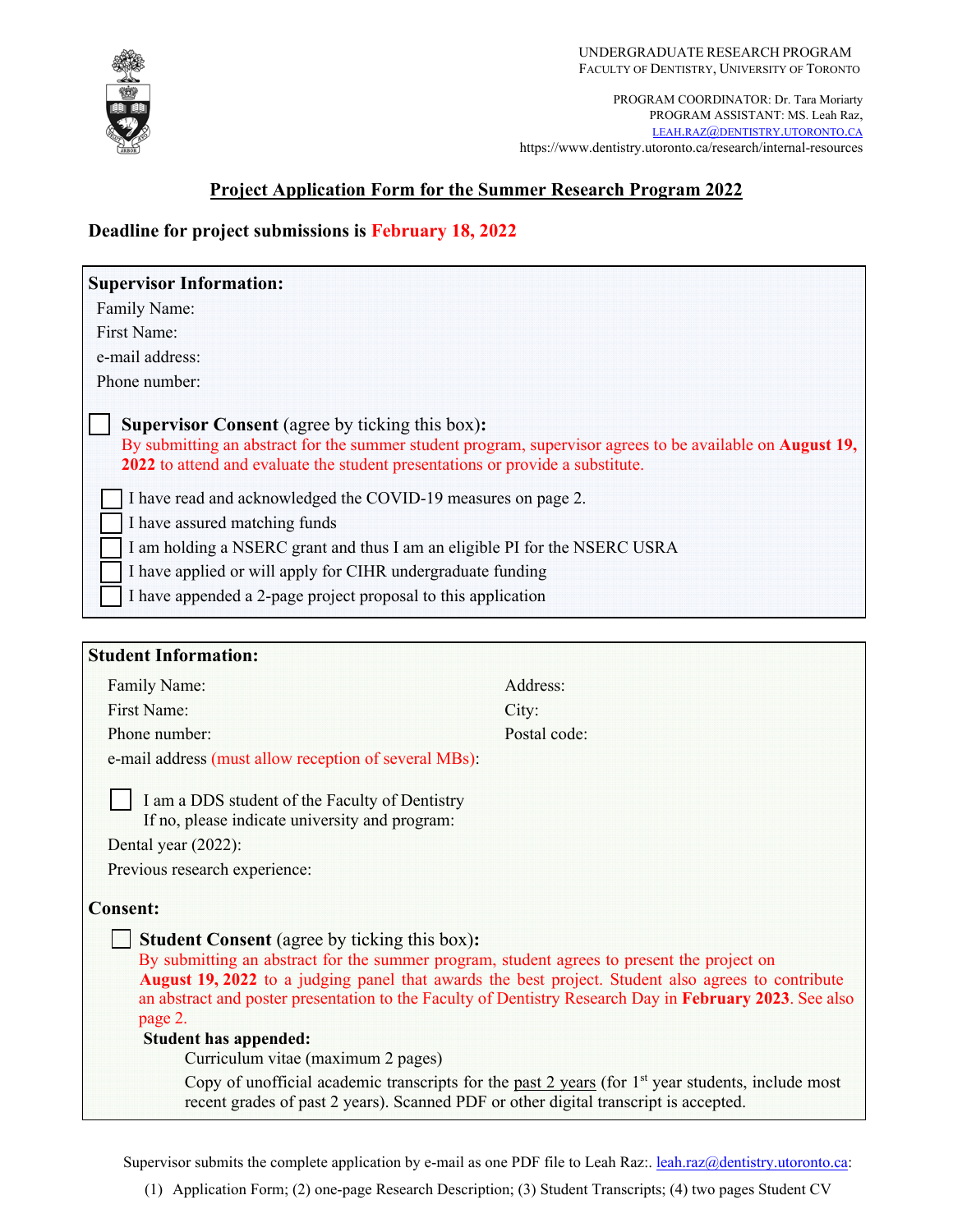

PROGRAM COORDINATOR: Dr. Tara Moriarty PROGRAM ASSISTANT: MS. Leah Raz, LEAH.RAZ@DENTISTRY.UTORONTO.CA https://www.dentistry.utoronto.ca/research/internal-resources

# **Project Application Form for the Summer Research Program 2022**

# **Deadline for project submissions is February 18, 2022**

| <b>Supervisor Information:</b>                                                                                                                                                                                                                                                                                                                                                                                                                                                                                                                                                                                                                       |              |
|------------------------------------------------------------------------------------------------------------------------------------------------------------------------------------------------------------------------------------------------------------------------------------------------------------------------------------------------------------------------------------------------------------------------------------------------------------------------------------------------------------------------------------------------------------------------------------------------------------------------------------------------------|--------------|
| Family Name:                                                                                                                                                                                                                                                                                                                                                                                                                                                                                                                                                                                                                                         |              |
| First Name:                                                                                                                                                                                                                                                                                                                                                                                                                                                                                                                                                                                                                                          |              |
| e-mail address:                                                                                                                                                                                                                                                                                                                                                                                                                                                                                                                                                                                                                                      |              |
| Phone number:                                                                                                                                                                                                                                                                                                                                                                                                                                                                                                                                                                                                                                        |              |
| <b>Supervisor Consent</b> (agree by ticking this box):<br>By submitting an abstract for the summer student program, supervisor agrees to be available on <b>August 19</b> ,<br>2022 to attend and evaluate the student presentations or provide a substitute.<br>I have read and acknowledged the COVID-19 measures on page 2.<br>I have assured matching funds<br>I am holding a NSERC grant and thus I am an eligible PI for the NSERC USRA<br>I have applied or will apply for CIHR undergraduate funding<br>I have appended a 2-page project proposal to this application                                                                        |              |
|                                                                                                                                                                                                                                                                                                                                                                                                                                                                                                                                                                                                                                                      |              |
|                                                                                                                                                                                                                                                                                                                                                                                                                                                                                                                                                                                                                                                      |              |
| <b>Student Information:</b>                                                                                                                                                                                                                                                                                                                                                                                                                                                                                                                                                                                                                          |              |
| Family Name:                                                                                                                                                                                                                                                                                                                                                                                                                                                                                                                                                                                                                                         | Address:     |
| First Name:                                                                                                                                                                                                                                                                                                                                                                                                                                                                                                                                                                                                                                          | City:        |
| Phone number:                                                                                                                                                                                                                                                                                                                                                                                                                                                                                                                                                                                                                                        | Postal code: |
| e-mail address (must allow reception of several MBs):                                                                                                                                                                                                                                                                                                                                                                                                                                                                                                                                                                                                |              |
| I am a DDS student of the Faculty of Dentistry<br>If no, please indicate university and program:<br>Dental year (2022):                                                                                                                                                                                                                                                                                                                                                                                                                                                                                                                              |              |
| Previous research experience:                                                                                                                                                                                                                                                                                                                                                                                                                                                                                                                                                                                                                        |              |
| <b>Consent:</b>                                                                                                                                                                                                                                                                                                                                                                                                                                                                                                                                                                                                                                      |              |
| <b>Student Consent</b> (agree by ticking this box):<br>By submitting an abstract for the summer program, student agrees to present the project on<br>August 19, 2022 to a judging panel that awards the best project. Student also agrees to contribute<br>an abstract and poster presentation to the Faculty of Dentistry Research Day in February 2023. See also<br>page 2.<br><b>Student has appended:</b><br>Curriculum vitae (maximum 2 pages)<br>Copy of unofficial academic transcripts for the past $2$ years (for $1st$ year students, include most<br>recent grades of past 2 years). Scanned PDF or other digital transcript is accepted. |              |

Supervisor submits the complete application by e-mail as one PDF file to Leah Raz:. leah.raz@dentistry.utoronto.ca:

(1) Application Form; (2) one-page Research Description; (3) Student Transcripts; (4) two pages Student CV